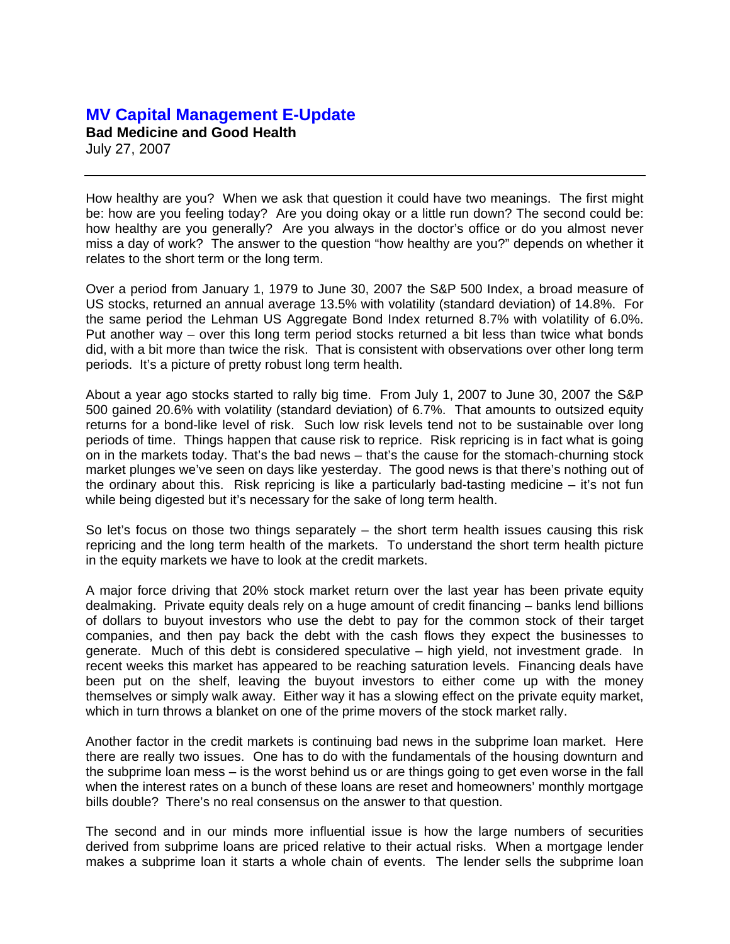## **MV Capital Management E-Update Bad Medicine and Good Health**  July 27, 2007

How healthy are you? When we ask that question it could have two meanings. The first might be: how are you feeling today? Are you doing okay or a little run down? The second could be: how healthy are you generally? Are you always in the doctor's office or do you almost never miss a day of work? The answer to the question "how healthy are you?" depends on whether it relates to the short term or the long term.

Over a period from January 1, 1979 to June 30, 2007 the S&P 500 Index, a broad measure of US stocks, returned an annual average 13.5% with volatility (standard deviation) of 14.8%. For the same period the Lehman US Aggregate Bond Index returned 8.7% with volatility of 6.0%. Put another way – over this long term period stocks returned a bit less than twice what bonds did, with a bit more than twice the risk. That is consistent with observations over other long term periods. It's a picture of pretty robust long term health.

About a year ago stocks started to rally big time. From July 1, 2007 to June 30, 2007 the S&P 500 gained 20.6% with volatility (standard deviation) of 6.7%. That amounts to outsized equity returns for a bond-like level of risk. Such low risk levels tend not to be sustainable over long periods of time. Things happen that cause risk to reprice. Risk repricing is in fact what is going on in the markets today. That's the bad news – that's the cause for the stomach-churning stock market plunges we've seen on days like yesterday. The good news is that there's nothing out of the ordinary about this. Risk repricing is like a particularly bad-tasting medicine – it's not fun while being digested but it's necessary for the sake of long term health.

So let's focus on those two things separately – the short term health issues causing this risk repricing and the long term health of the markets. To understand the short term health picture in the equity markets we have to look at the credit markets.

A major force driving that 20% stock market return over the last year has been private equity dealmaking. Private equity deals rely on a huge amount of credit financing – banks lend billions of dollars to buyout investors who use the debt to pay for the common stock of their target companies, and then pay back the debt with the cash flows they expect the businesses to generate. Much of this debt is considered speculative – high yield, not investment grade. In recent weeks this market has appeared to be reaching saturation levels. Financing deals have been put on the shelf, leaving the buyout investors to either come up with the money themselves or simply walk away. Either way it has a slowing effect on the private equity market, which in turn throws a blanket on one of the prime movers of the stock market rally.

Another factor in the credit markets is continuing bad news in the subprime loan market. Here there are really two issues. One has to do with the fundamentals of the housing downturn and the subprime loan mess – is the worst behind us or are things going to get even worse in the fall when the interest rates on a bunch of these loans are reset and homeowners' monthly mortgage bills double? There's no real consensus on the answer to that question.

The second and in our minds more influential issue is how the large numbers of securities derived from subprime loans are priced relative to their actual risks. When a mortgage lender makes a subprime loan it starts a whole chain of events. The lender sells the subprime loan